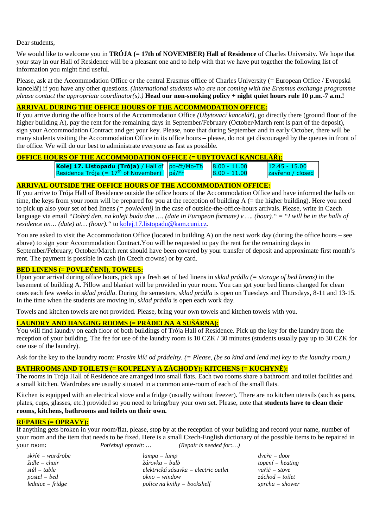Dear students,

We would like to welcome you in **TRÓJA** (= 17th of NOVEMBER) Hall of Residence of Charles University. We hope that your stay in our Hall of Residence will be a pleasant one and to help with that we have put together the following list of information you might find useful.

Please, ask at the Accommodation Office or the central Erasmus office of Charles University (= European Office / Evropská kancelář) if you have any other questions. *(International students who are not coming with the Erasmus exchange programme please contact the appropriate coordinator(s).)* **Head our non-smoking policy + night quiet hours rule 10 p.m.-7 a.m.!**

#### **ARRIVAL DURING THE OFFICE HOURS OF THE ACCOMMODATION OFFICE:**

If you arrive during the office hours of the Accommodation Office *(Ubytovací kancelář)*, go directly there (ground floor of the higher building A), pay the rent for the remaining days in September/February (October/March rent is part of the deposit), sign your Accommodation Contract and get your key. Please, note that during September and in early October, there will be many students visiting the Accommodation Office in its office hours – please, do not get discouraged by the queues in front of the office. We will do our best to administrate everyone as fast as possible.

### **OFFICE HOURS OF THE ACCOMMODATION OFFICE (= UBYTOVACÍ KANCELÁŘ):**

| <b>Kolej 17. Listopadu (Trója)</b> / Hall of $\vert$ po-čt/Mo-Th $\vert$ 8.00 - 11.00 |                  | $12.45 - 15.00$  |
|---------------------------------------------------------------------------------------|------------------|------------------|
| Residence Trója (= $17^{\text{th}}$ of November) pá/Fr                                | $ 8.00 - 11.00 $ | zavřeno / closed |

### **ARRIVAL OUTSIDE THE OFFICE HOURS OF THE ACCOMMODATION OFFICE:**

If you arrive to Trója Hall of Residence outside the office hours of the Accommodation Office and have informed the halls on time, the keys from your room will be prepared for you at the reception of building  $A$  (= the higher building). Here you need to pick up also your set of bed linens *(= povlečení)* in the case of outside-the-office-hours arrivals. Please, write in Czech language via email *"Dobrý den, na koleji budu dne …. (date in European formate) v …. (hour)."* = *"I will be in the halls of residence on… (date) at… (hour)."* to kolej.17.listopadu@kam.cuni.cz.

You are asked to visit the Accommodation Office (located in building A) on the next work day (during the office hours – see above) to sign your Accommodation Contract.You will be requested to pay the rent for the remaining days in September/February; October/March rent should have been covered by your transfer of deposit and approximate first month's rent. The payment is possible in cash (in Czech crowns) or by card.

### **BED LINENS (= POVLEČENÍ), TOWELS:**

Upon your arrival during office hours, pick up a fresh set of bed linens in *sklad prádla (= storage of bed linens)* in the basement of building A. Pillow and blanket will be provided in your room. You can get your bed linens changed for clean ones each few weeks in *sklad prádla*. During the semesters, *sklad prádla* is open on Tuesdays and Thursdays, 8-11 and 13-15. In the time when the students are moving in, *sklad prádla* is open each work day.

Towels and kitchen towels are not provided. Please, bring your own towels and kitchen towels with you.

### **LAUNDRY AND HANGING ROOMS (= PRÁDELNA A SUŠÁRNA):**

You will find laundry on each floor of both buildings of Trója Hall of Residence. Pick up the key for the laundry from the reception of your building. The fee for use of the laundry room is 10 CZK / 30 minutes (students usually pay up to 30 CZK for one use of the laundry).

Ask for the key to the laundry room: *Prosím klíč od prádelny. (= Please, (be so kind and lend me) key to the laundry room.)* 

# **BATHROOMS AND TOILETS (= KOUPELNY A ZÁCHODY); KITCHENS (= KUCHYNĚ):**

The rooms in Trója Hall of Residence are arranged into small flats. Each two rooms share a bathroom and toilet facilities and a small kitchen. Wardrobes are usually situated in a common ante-room of each of the small flats.

Kitchen is equipped with an electrical stove and a fridge (usually without freezer). There are no kitchen utensils (such as pans, plates, cups, glasses, etc.) provided so you need to bring/buy your own set. Please, note that **students have to clean their rooms, kitchens, bathrooms and toilets on their own.** 

## **REPAIRS (= OPRAVY):**

If anything gets broken in your room/flat, please, stop by at the reception of your building and record your name, number of your room and the item that needs to be fixed. Here is a small Czech-English dictionary of the possible items to be repaired in your room: *Potřebuji opravit: … (Repair is needed for:…)*

| skříň = wardrobe         | $lampa = lamp$                       | $dve\check{r}e = door$                            |
|--------------------------|--------------------------------------|---------------------------------------------------|
| $\check{z}$ idle = chair | $\check{z}$ árovka = bulb            | $to pen$ í = heating                              |
| stůl = table             | elektrická zásuvka = electric outlet | $\alpha \check{i} \check{c} = \mathsf{st} \alpha$ |
| $postel = bed$           | $okno = window$                      | záchod = toilet                                   |
| $lednice = fridge$       | police na knihy $=$ bookshelf        | $sprcha = shower$                                 |
|                          |                                      |                                                   |